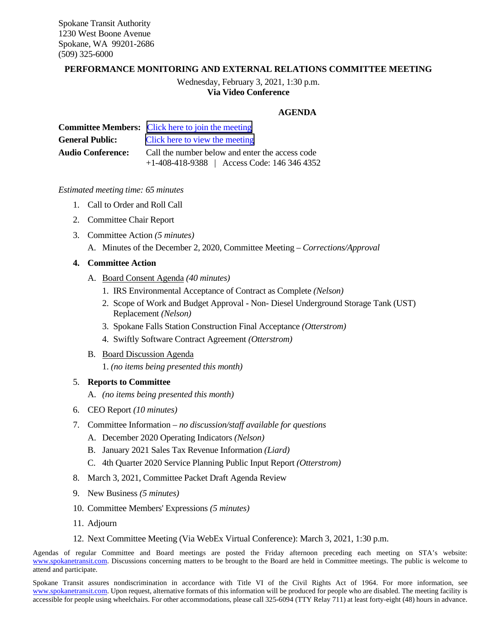### **PERFORMANCE MONITORING AND EXTERNAL RELATIONS COMMITTEE MEETING**

Wednesday, February 3, 2021, 1:30 p.m. **Via Video Conference**

### **AGENDA**

|                          | <b>Committee Members:</b> Click here to join the meeting |
|--------------------------|----------------------------------------------------------|
| <b>General Public:</b>   | Click here to view the meeting                           |
| <b>Audio Conference:</b> | Call the number below and enter the access code          |
|                          | $+1-408-418-9388$   Access Code: 146 346 4352            |

### *Estimated meeting time: 65 minutes*

- 1. Call to Order and Roll Call
- 2. Committee Chair Report
- 3. Committee Action *(5 minutes)*
	- A. Minutes of the December 2, 2020, Committee Meeting *Corrections/Approval*

### **4. Committee Action**

- A. Board Consent Agenda *(40 minutes)*
	- 1. IRS Environmental Acceptance of Contract as Complete *(Nelson)*
	- 2. Scope of Work and Budget Approval Non- Diesel Underground Storage Tank (UST) Replacement *(Nelson)*
	- 3. Spokane Falls Station Construction Final Acceptance *(Otterstrom)*
	- 4. Swiftly Software Contract Agreement *(Otterstrom)*
- B. Board Discussion Agenda

1. *(no items being presented this month)*

#### 5. **Reports to Committee**

- A. *(no items being presented this month)*
- 6. CEO Report *(10 minutes)*
- 7. Committee Information *no discussion/staff available for questions*
	- A. December 2020 Operating Indicators *(Nelson)*
	- B. January 2021 Sales Tax Revenue Information *(Liard)*
	- C. 4th Quarter 2020 Service Planning Public Input Report *(Otterstrom)*
- 8. March 3, 2021, Committee Packet Draft Agenda Review
- 9. [New B](http://www.spokanetransit.com/)usiness *(5 minutes)*
- 10. Committee Members' Expressions *(5 minutes)*
- [11. Adjou](http://www.spokanetransit.com/)rn
- 12. Next Committee Meeting (Via WebEx Virtual Conference): March 3, 2021, 1:30 p.m.

Agendas of regular Committee and Board meetings are posted the Friday afternoon preceding each meeting on STA's website: www.spokanetransit.com. Discussions concerning matters to be brought to the Board are held in Committee meetings. The public is welcome to attend and participate.

Spokane Transit assures nondiscrimination in accordance with Title VI of the Civil Rights Act of 1964. For more information, see www.spokanetransit.com. Upon request, alternative formats of this information will be produced for people who are disabled. The meeting facility is accessible for people using wheelchairs. For other accommodations, please call 325-6094 (TTY Relay 711) at least forty-eight (48) hours in advance.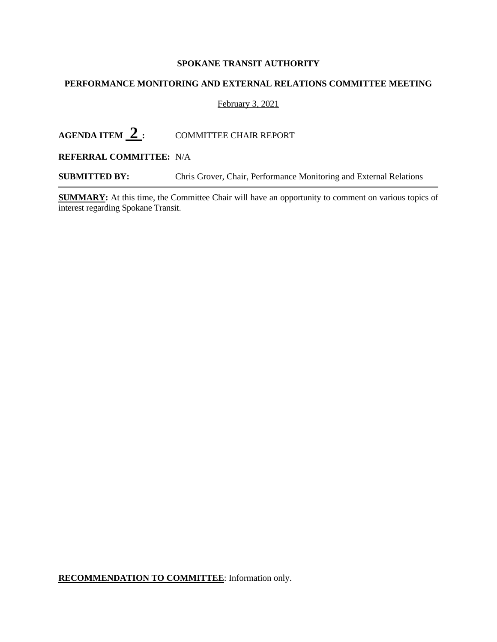### **PERFORMANCE MONITORING AND EXTERNAL RELATIONS COMMITTEE MEETING**

### February 3, 2021

### AGENDA ITEM  $\frac{2}{1}$ : COMMITTEE CHAIR REPORT

### **REFERRAL COMMITTEE:** N/A

**SUBMITTED BY:** Chris Grover, Chair, Performance Monitoring and External Relations

**SUMMARY:** At this time, the Committee Chair will have an opportunity to comment on various topics of interest regarding Spokane Transit.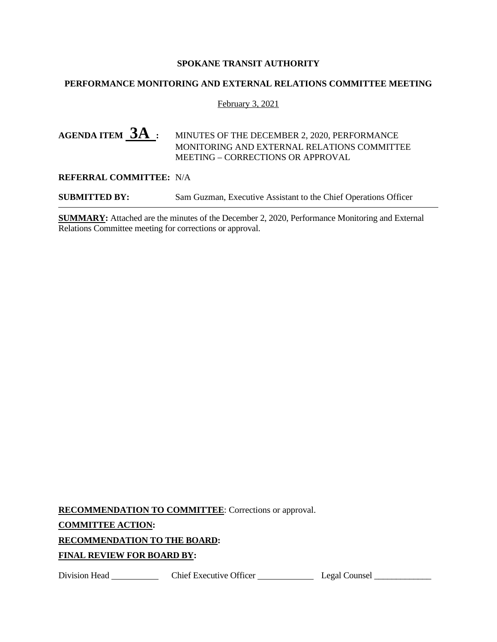### **PERFORMANCE MONITORING AND EXTERNAL RELATIONS COMMITTEE MEETING**

### February 3, 2021

### **AGENDA ITEM 3A :** MINUTES OF THE DECEMBER 2, 2020, PERFORMANCE MONITORING AND EXTERNAL RELATIONS COMMITTEE MEETING – CORRECTIONS OR APPROVAL

#### **REFERRAL COMMITTEE:** N/A

**SUBMITTED BY:** Sam Guzman, Executive Assistant to the Chief Operations Officer

**SUMMARY:** Attached are the minutes of the December 2, 2020, Performance Monitoring and External Relations Committee meeting for corrections or approval.

**RECOMMENDATION TO COMMITTEE**: Corrections or approval. **COMMITTEE ACTION: RECOMMENDATION TO THE BOARD: FINAL REVIEW FOR BOARD BY:**

Division Head \_\_\_\_\_\_\_\_\_\_\_\_\_\_\_ Chief Executive Officer \_\_\_\_\_\_\_\_\_\_\_\_\_\_\_\_\_\_\_ Legal Counsel \_\_\_\_\_\_\_\_\_\_\_\_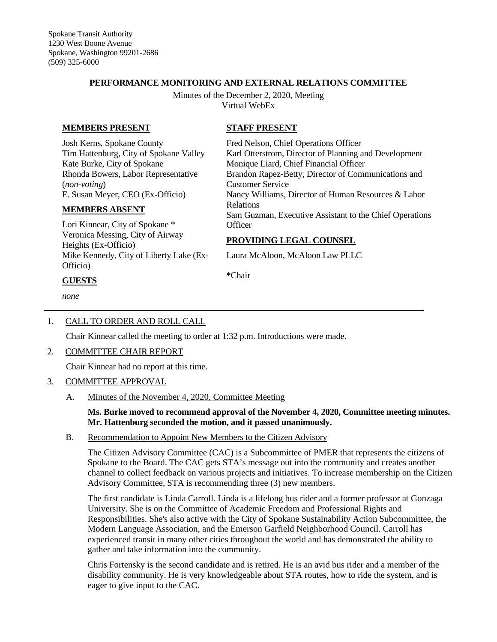### **PERFORMANCE MONITORING AND EXTERNAL RELATIONS COMMITTEE**

Minutes of the December 2, 2020, Meeting Virtual WebEx

### **MEMBERS PRESENT**

Josh Kerns, Spokane County Tim Hattenburg, City of Spokane Valley Kate Burke, City of Spokane Rhonda Bowers, Labor Representative (*non-voting*) E. Susan Meyer, CEO (Ex-Officio)

### **MEMBERS ABSENT**

Lori Kinnear, City of Spokane \* Veronica Messing, City of Airway Heights (Ex-Officio) Mike Kennedy, City of Liberty Lake (Ex-Officio)

### **GUESTS**

*none*

### **STAFF PRESENT**

Fred Nelson, Chief Operations Officer Karl Otterstrom, Director of Planning and Development Monique Liard, Chief Financial Officer Brandon Rapez-Betty, Director of Communications and Customer Service Nancy Williams, Director of Human Resources & Labor Relations Sam Guzman, Executive Assistant to the Chief Operations **Officer** 

### **PROVIDING LEGAL COUNSEL**

Laura McAloon, McAloon Law PLLC

\*Chair

### 1. CALL TO ORDER AND ROLL CALL

Chair Kinnear called the meeting to order at 1:32 p.m. Introductions were made.

### 2. COMMITTEE CHAIR REPORT

Chair Kinnear had no report at this time.

### 3. COMMITTEE APPROVAL

A. Minutes of the November 4, 2020, Committee Meeting

### **Ms. Burke moved to recommend approval of the November 4, 2020, Committee meeting minutes. Mr. Hattenburg seconded the motion, and it passed unanimously.**

B. Recommendation to Appoint New Members to the Citizen Advisory

The Citizen Advisory Committee (CAC) is a Subcommittee of PMER that represents the citizens of Spokane to the Board. The CAC gets STA's message out into the community and creates another channel to collect feedback on various projects and initiatives. To increase membership on the Citizen Advisory Committee, STA is recommending three (3) new members.

The first candidate is Linda Carroll. Linda is a lifelong bus rider and a former professor at Gonzaga University. She is on the Committee of Academic Freedom and Professional Rights and Responsibilities. She's also active with the City of Spokane Sustainability Action Subcommittee, the Modern Language Association, and the Emerson Garfield Neighborhood Council. Carroll has experienced transit in many other cities throughout the world and has demonstrated the ability to gather and take information into the community.

Chris Fortensky is the second candidate and is retired. He is an avid bus rider and a member of the disability community. He is very knowledgeable about STA routes, how to ride the system, and is eager to give input to the CAC.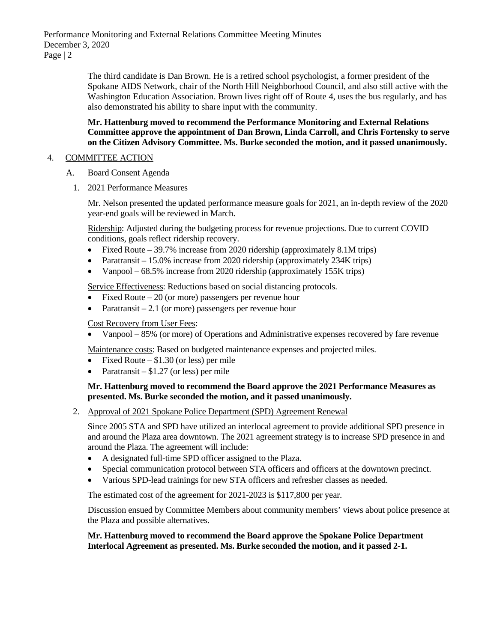Performance Monitoring and External Relations Committee Meeting Minutes December 3, 2020 Page | 2

> The third candidate is Dan Brown. He is a retired school psychologist, a former president of the Spokane AIDS Network, chair of the North Hill Neighborhood Council, and also still active with the Washington Education Association. Brown lives right off of Route 4, uses the bus regularly, and has also demonstrated his ability to share input with the community.

> **Mr. Hattenburg moved to recommend the Performance Monitoring and External Relations Committee approve the appointment of Dan Brown, Linda Carroll, and Chris Fortensky to serve on the Citizen Advisory Committee. Ms. Burke seconded the motion, and it passed unanimously.**

### 4. COMMITTEE ACTION

- A. Board Consent Agenda
	- 1. 2021 Performance Measures

Mr. Nelson presented the updated performance measure goals for 2021, an in-depth review of the 2020 year-end goals will be reviewed in March.

Ridership: Adjusted during the budgeting process for revenue projections. Due to current COVID conditions, goals reflect ridership recovery.

- Fixed Route 39.7% increase from 2020 ridership (approximately 8.1M trips)
- Paratransit 15.0% increase from 2020 ridership (approximately 234K trips)
- Vanpool 68.5% increase from 2020 ridership (approximately 155K trips)

Service Effectiveness: Reductions based on social distancing protocols.

- Fixed Route 20 (or more) passengers per revenue hour
- Paratransit 2.1 (or more) passengers per revenue hour

### Cost Recovery from User Fees:

• Vanpool – 85% (or more) of Operations and Administrative expenses recovered by fare revenue

Maintenance costs: Based on budgeted maintenance expenses and projected miles.

- Fixed Route  $$1.30$  (or less) per mile
- Paratransit  $$1.27$  (or less) per mile

### **Mr. Hattenburg moved to recommend the Board approve the 2021 Performance Measures as presented. Ms. Burke seconded the motion, and it passed unanimously.**

2. Approval of 2021 Spokane Police Department (SPD) Agreement Renewal

Since 2005 STA and SPD have utilized an interlocal agreement to provide additional SPD presence in and around the Plaza area downtown. The 2021 agreement strategy is to increase SPD presence in and around the Plaza. The agreement will include:

- A designated full-time SPD officer assigned to the Plaza.
- Special communication protocol between STA officers and officers at the downtown precinct.
- Various SPD-lead trainings for new STA officers and refresher classes as needed.

The estimated cost of the agreement for 2021-2023 is \$117,800 per year.

Discussion ensued by Committee Members about community members' views about police presence at the Plaza and possible alternatives.

**Mr. Hattenburg moved to recommend the Board approve the Spokane Police Department Interlocal Agreement as presented. Ms. Burke seconded the motion, and it passed 2-1.**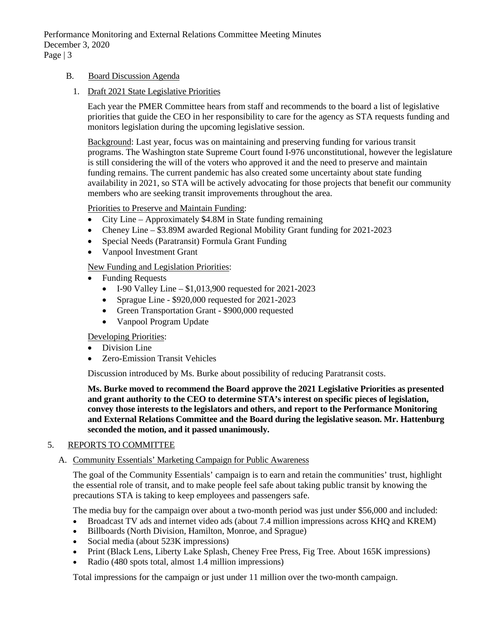### B. Board Discussion Agenda

### 1. Draft 2021 State Legislative Priorities

Each year the PMER Committee hears from staff and recommends to the board a list of legislative priorities that guide the CEO in her responsibility to care for the agency as STA requests funding and monitors legislation during the upcoming legislative session.

Background: Last year, focus was on maintaining and preserving funding for various transit programs. The Washington state Supreme Court found I-976 unconstitutional, however the legislature is still considering the will of the voters who approved it and the need to preserve and maintain funding remains. The current pandemic has also created some uncertainty about state funding availability in 2021, so STA will be actively advocating for those projects that benefit our community members who are seeking transit improvements throughout the area.

Priorities to Preserve and Maintain Funding:

- City Line Approximately \$4.8M in State funding remaining
- Cheney Line \$3.89M awarded Regional Mobility Grant funding for 2021-2023
- Special Needs (Paratransit) Formula Grant Funding
- Vanpool Investment Grant

### New Funding and Legislation Priorities:

- Funding Requests
	- I-90 Valley Line  $$1,013,900$  requested for 2021-2023
	- Sprague Line \$920,000 requested for 2021-2023
	- Green Transportation Grant \$900,000 requested
	- Vanpool Program Update

Developing Priorities:

- Division Line
- Zero-Emission Transit Vehicles

Discussion introduced by Ms. Burke about possibility of reducing Paratransit costs.

**Ms. Burke moved to recommend the Board approve the 2021 Legislative Priorities as presented and grant authority to the CEO to determine STA's interest on specific pieces of legislation, convey those interests to the legislators and others, and report to the Performance Monitoring and External Relations Committee and the Board during the legislative season. Mr. Hattenburg seconded the motion, and it passed unanimously.**

#### 5. REPORTS TO COMMITTEE

### A. Community Essentials' Marketing Campaign for Public Awareness

The goal of the Community Essentials' campaign is to earn and retain the communities' trust, highlight the essential role of transit, and to make people feel safe about taking public transit by knowing the precautions STA is taking to keep employees and passengers safe.

The media buy for the campaign over about a two-month period was just under \$56,000 and included:

- Broadcast TV ads and internet video ads (about 7.4 million impressions across KHQ and KREM)
- Billboards (North Division, Hamilton, Monroe, and Sprague)
- Social media (about 523K impressions)
- Print (Black Lens, Liberty Lake Splash, Cheney Free Press, Fig Tree. About 165K impressions)
- Radio (480 spots total, almost 1.4 million impressions)

Total impressions for the campaign or just under 11 million over the two-month campaign.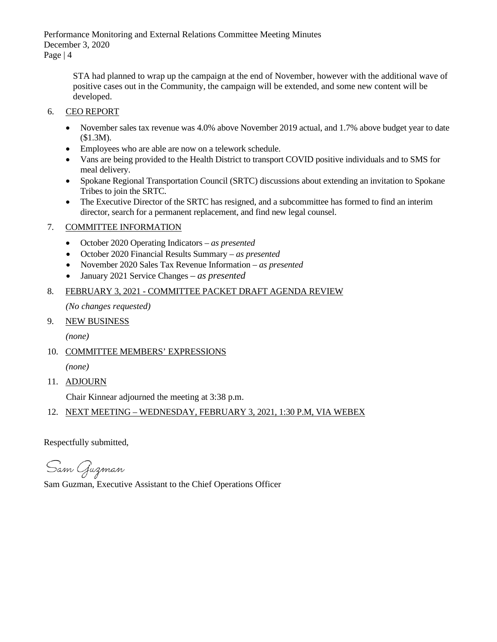Performance Monitoring and External Relations Committee Meeting Minutes December 3, 2020 Page | 4

> STA had planned to wrap up the campaign at the end of November, however with the additional wave of positive cases out in the Community, the campaign will be extended, and some new content will be developed.

### 6. CEO REPORT

- November sales tax revenue was 4.0% above November 2019 actual, and 1.7% above budget year to date (\$1.3M).
- Employees who are able are now on a telework schedule.
- Vans are being provided to the Health District to transport COVID positive individuals and to SMS for meal delivery.
- Spokane Regional Transportation Council (SRTC) discussions about extending an invitation to Spokane Tribes to join the SRTC.
- The Executive Director of the SRTC has resigned, and a subcommittee has formed to find an interim director, search for a permanent replacement, and find new legal counsel.

### 7. COMMITTEE INFORMATION

- October 2020 Operating Indicators *as presented*
- October 2020 Financial Results Summary *as presented*
- November 2020 Sales Tax Revenue Information *as presented*
- January 2021 Service Changes *– as presented*

### 8. FEBRUARY 3, 2021 - COMMITTEE PACKET DRAFT AGENDA REVIEW

*(No changes requested)*

9. NEW BUSINESS

*(none)*

10. COMMITTEE MEMBERS' EXPRESSIONS

*(none)*

11. ADJOURN

Chair Kinnear adjourned the meeting at 3:38 p.m.

### 12. NEXT MEETING – WEDNESDAY, FEBRUARY 3, 2021, 1:30 P.M, VIA WEBEX

Respectfully submitted,

Sam Guzman

Sam Guzman, Executive Assistant to the Chief Operations Officer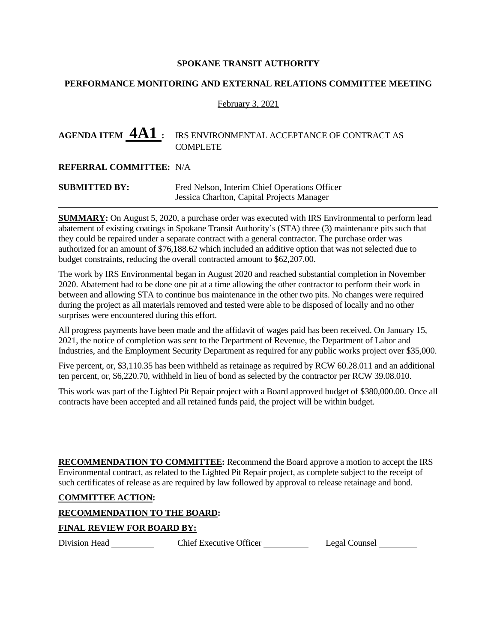### **PERFORMANCE MONITORING AND EXTERNAL RELATIONS COMMITTEE MEETING**

### February 3, 2021

### AGENDA ITEM  $4A1$ : IRS ENVIRONMENTAL ACCEPTANCE OF CONTRACT AS COMPLETE

### **REFERRAL COMMITTEE:** N/A

| <b>SUBMITTED BY:</b> | Fred Nelson, Interim Chief Operations Officer |
|----------------------|-----------------------------------------------|
|                      | Jessica Charlton, Capital Projects Manager    |

**SUMMARY:** On August 5, 2020, a purchase order was executed with IRS Environmental to perform lead abatement of existing coatings in Spokane Transit Authority's (STA) three (3) maintenance pits such that they could be repaired under a separate contract with a general contractor. The purchase order was authorized for an amount of \$76,188.62 which included an additive option that was not selected due to budget constraints, reducing the overall contracted amount to \$62,207.00.

The work by IRS Environmental began in August 2020 and reached substantial completion in November 2020. Abatement had to be done one pit at a time allowing the other contractor to perform their work in between and allowing STA to continue bus maintenance in the other two pits. No changes were required during the project as all materials removed and tested were able to be disposed of locally and no other surprises were encountered during this effort.

All progress payments have been made and the affidavit of wages paid has been received. On January 15, 2021, the notice of completion was sent to the Department of Revenue, the Department of Labor and Industries, and the Employment Security Department as required for any public works project over \$35,000.

Five percent, or, \$3,110.35 has been withheld as retainage as required by RCW 60.28.011 and an additional ten percent, or, \$6,220.70, withheld in lieu of bond as selected by the contractor per RCW 39.08.010.

This work was part of the Lighted Pit Repair project with a Board approved budget of \$380,000.00. Once all contracts have been accepted and all retained funds paid, the project will be within budget.

**RECOMMENDATION TO COMMITTEE:** Recommend the Board approve a motion to accept the IRS Environmental contract, as related to the Lighted Pit Repair project, as complete subject to the receipt of such certificates of release as are required by law followed by approval to release retainage and bond.

### **COMMITTEE ACTION:**

### **RECOMMENDATION TO THE BOARD:**

### **FINAL REVIEW FOR BOARD BY:**

Division Head Chief Executive Officer Legal Counsel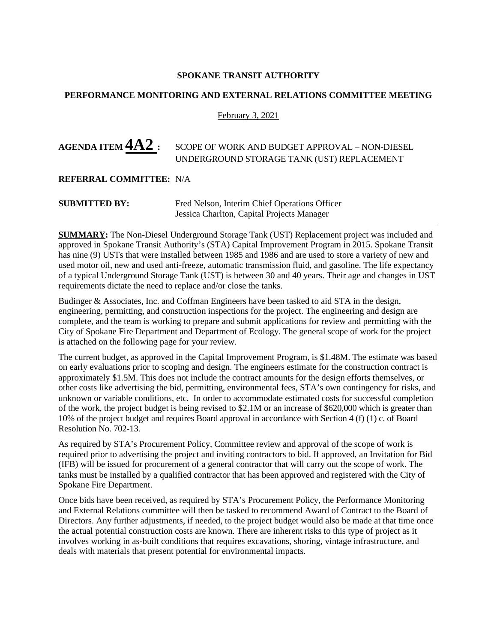### **PERFORMANCE MONITORING AND EXTERNAL RELATIONS COMMITTEE MEETING**

February 3, 2021

### **AGENDA ITEM 4A2 :** SCOPE OF WORK AND BUDGET APPROVAL – NON-DIESEL UNDERGROUND STORAGE TANK (UST) REPLACEMENT

### **REFERRAL COMMITTEE:** N/A

| <b>SUBMITTED BY:</b> | Fred Nelson, Interim Chief Operations Officer |
|----------------------|-----------------------------------------------|
|                      | Jessica Charlton, Capital Projects Manager    |

**SUMMARY:** The Non-Diesel Underground Storage Tank (UST) Replacement project was included and approved in Spokane Transit Authority's (STA) Capital Improvement Program in 2015. Spokane Transit has nine (9) USTs that were installed between 1985 and 1986 and are used to store a variety of new and used motor oil, new and used anti-freeze, automatic transmission fluid, and gasoline. The life expectancy of a typical Underground Storage Tank (UST) is between 30 and 40 years. Their age and changes in UST requirements dictate the need to replace and/or close the tanks.

Budinger & Associates, Inc. and Coffman Engineers have been tasked to aid STA in the design, engineering, permitting, and construction inspections for the project. The engineering and design are complete, and the team is working to prepare and submit applications for review and permitting with the City of Spokane Fire Department and Department of Ecology. The general scope of work for the project is attached on the following page for your review.

The current budget, as approved in the Capital Improvement Program, is \$1.48M. The estimate was based on early evaluations prior to scoping and design. The engineers estimate for the construction contract is approximately \$1.5M. This does not include the contract amounts for the design efforts themselves, or other costs like advertising the bid, permitting, environmental fees, STA's own contingency for risks, and unknown or variable conditions, etc. In order to accommodate estimated costs for successful completion of the work, the project budget is being revised to \$2.1M or an increase of \$620,000 which is greater than 10% of the project budget and requires Board approval in accordance with Section 4 (f) (1) c. of Board Resolution No. 702-13.

As required by STA's Procurement Policy, Committee review and approval of the scope of work is required prior to advertising the project and inviting contractors to bid. If approved, an Invitation for Bid (IFB) will be issued for procurement of a general contractor that will carry out the scope of work. The tanks must be installed by a qualified contractor that has been approved and registered with the City of Spokane Fire Department.

Once bids have been received, as required by STA's Procurement Policy, the Performance Monitoring and External Relations committee will then be tasked to recommend Award of Contract to the Board of Directors. Any further adjustments, if needed, to the project budget would also be made at that time once the actual potential construction costs are known. There are inherent risks to this type of project as it involves working in as-built conditions that requires excavations, shoring, vintage infrastructure, and deals with materials that present potential for environmental impacts.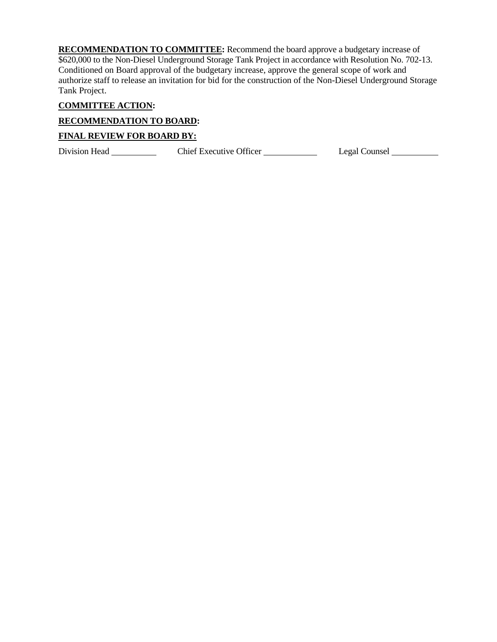**RECOMMENDATION TO COMMITTEE:** Recommend the board approve a budgetary increase of \$620,000 to the Non-Diesel Underground Storage Tank Project in accordance with Resolution No. 702-13. Conditioned on Board approval of the budgetary increase, approve the general scope of work and authorize staff to release an invitation for bid for the construction of the Non-Diesel Underground Storage Tank Project.

### **COMMITTEE ACTION:**

### **RECOMMENDATION TO BOARD:**

### **FINAL REVIEW FOR BOARD BY:**

Division Head Chief Executive Officer Chief Executive Officer Chief Counsel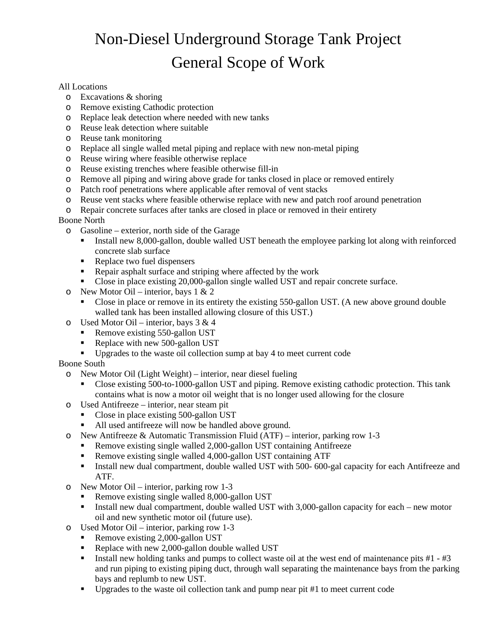# Non-Diesel Underground Storage Tank Project General Scope of Work

### All Locations

- o Excavations & shoring
- o Remove existing Cathodic protection
- o Replace leak detection where needed with new tanks
- Reuse leak detection where suitable
- o Reuse tank monitoring
- o Replace all single walled metal piping and replace with new non-metal piping
- o Reuse wiring where feasible otherwise replace
- o Reuse existing trenches where feasible otherwise fill-in
- o Remove all piping and wiring above grade for tanks closed in place or removed entirely
- o Patch roof penetrations where applicable after removal of vent stacks
- o Reuse vent stacks where feasible otherwise replace with new and patch roof around penetration<br>  $\circ$  Repair concrete surfaces after tanks are closed in place or removed in their entirety
- Repair concrete surfaces after tanks are closed in place or removed in their entirety

### Boone North

- o Gasoline exterior, north side of the Garage
	- Install new 8,000-gallon, double walled UST beneath the employee parking lot along with reinforced concrete slab surface
	- Replace two fuel dispensers
	- Repair asphalt surface and striping where affected by the work
	- Close in place existing 20,000-gallon single walled UST and repair concrete surface.
- o New Motor Oil interior, bays  $1 & 2$ 
	- Close in place or remove in its entirety the existing 550-gallon UST. (A new above ground double walled tank has been installed allowing closure of this UST.)
- o Used Motor Oil interior, bays  $3 & 4$ 
	- Remove existing 550-gallon UST
	- Replace with new 500-gallon UST
	- Upgrades to the waste oil collection sump at bay 4 to meet current code

### Boone South

- o New Motor Oil (Light Weight) interior, near diesel fueling
	- Close existing 500-to-1000-gallon UST and piping. Remove existing cathodic protection. This tank contains what is now a motor oil weight that is no longer used allowing for the closure
- o Used Antifreeze interior, near steam pit<br>Close in place existing 500-gallon US
	- Close in place existing 500-gallon UST
	- All used antifreeze will now be handled above ground.
- o New Antifreeze & Automatic Transmission Fluid (ATF) interior, parking row 1-3
	- Remove existing single walled 2,000-gallon UST containing Antifreeze
	- Remove existing single walled 4,000-gallon UST containing ATF
	- Install new dual compartment, double walled UST with 500- 600-gal capacity for each Antifreeze and ATF.
- o New Motor Oil interior, parking row 1-3
	- Remove existing single walled 8,000-gallon UST
	- Install new dual compartment, double walled UST with 3,000-gallon capacity for each new motor oil and new synthetic motor oil (future use).
- o Used Motor Oil interior, parking row 1-3
	- Remove existing 2,000-gallon UST
	- Replace with new 2,000-gallon double walled UST
	- Install new holding tanks and pumps to collect waste oil at the west end of maintenance pits  $#1 #3$ and run piping to existing piping duct, through wall separating the maintenance bays from the parking bays and replumb to new UST.
	- $\blacksquare$  Upgrades to the waste oil collection tank and pump near pit #1 to meet current code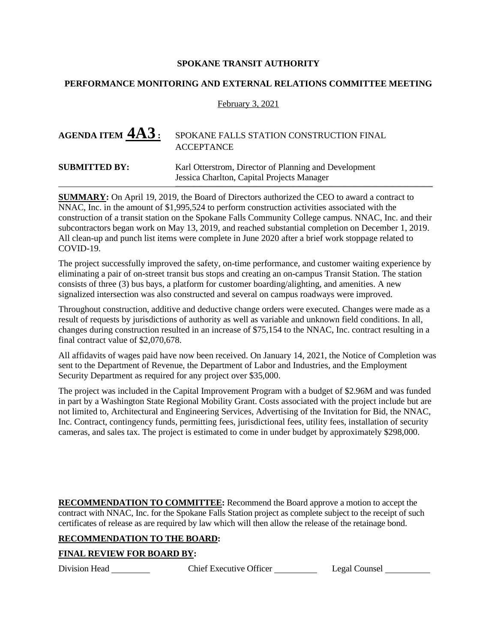### **PERFORMANCE MONITORING AND EXTERNAL RELATIONS COMMITTEE MEETING**

### February 3, 2021

| AGENDA ITEM $\overline{443}$ : spokane falls station construction final<br><b>ACCEPTANCE</b> |
|----------------------------------------------------------------------------------------------|
|                                                                                              |

**SUBMITTED BY:** Karl Otterstrom, Director of Planning and Development Jessica Charlton, Capital Projects Manager \_\_\_\_\_\_\_\_\_\_\_\_\_\_\_\_\_\_\_\_\_\_\_\_\_\_\_\_\_\_\_\_\_\_\_\_\_\_\_\_\_\_\_\_\_\_\_\_\_\_\_\_\_\_\_\_\_\_\_\_\_\_\_\_\_\_\_\_\_\_\_\_\_\_\_\_\_\_\_\_\_\_\_\_\_\_\_\_\_\_\_\_\_\_\_\_\_\_\_\_\_\_\_\_\_\_\_\_\_\_\_\_\_\_\_\_\_\_\_\_\_\_\_\_\_\_\_

**SUMMARY:** On April 19, 2019, the Board of Directors authorized the CEO to award a contract to NNAC, Inc. in the amount of \$1,995,524 to perform construction activities associated with the construction of a transit station on the Spokane Falls Community College campus. NNAC, Inc. and their subcontractors began work on May 13, 2019, and reached substantial completion on December 1, 2019. All clean-up and punch list items were complete in June 2020 after a brief work stoppage related to COVID-19.

The project successfully improved the safety, on-time performance, and customer waiting experience by eliminating a pair of on-street transit bus stops and creating an on-campus Transit Station. The station consists of three (3) bus bays, a platform for customer boarding/alighting, and amenities. A new signalized intersection was also constructed and several on campus roadways were improved.

Throughout construction, additive and deductive change orders were executed. Changes were made as a result of requests by jurisdictions of authority as well as variable and unknown field conditions. In all, changes during construction resulted in an increase of \$75,154 to the NNAC, Inc. contract resulting in a final contract value of \$2,070,678.

All affidavits of wages paid have now been received. On January 14, 2021, the Notice of Completion was sent to the Department of Revenue, the Department of Labor and Industries, and the Employment Security Department as required for any project over \$35,000.

The project was included in the Capital Improvement Program with a budget of \$2.96M and was funded in part by a Washington State Regional Mobility Grant. Costs associated with the project include but are not limited to, Architectural and Engineering Services, Advertising of the Invitation for Bid, the NNAC, Inc. Contract, contingency funds, permitting fees, jurisdictional fees, utility fees, installation of security cameras, and sales tax. The project is estimated to come in under budget by approximately \$298,000.

**RECOMMENDATION TO COMMITTEE:** Recommend the Board approve a motion to accept the contract with NNAC, Inc. for the Spokane Falls Station project as complete subject to the receipt of such certificates of release as are required by law which will then allow the release of the retainage bond.

### **RECOMMENDATION TO THE BOARD:**

### **FINAL REVIEW FOR BOARD BY:**

Division Head \_\_\_\_\_\_\_\_\_\_\_\_ Chief Executive Officer \_\_\_\_\_\_\_\_\_\_\_\_ Legal Counsel \_\_\_\_\_\_\_\_\_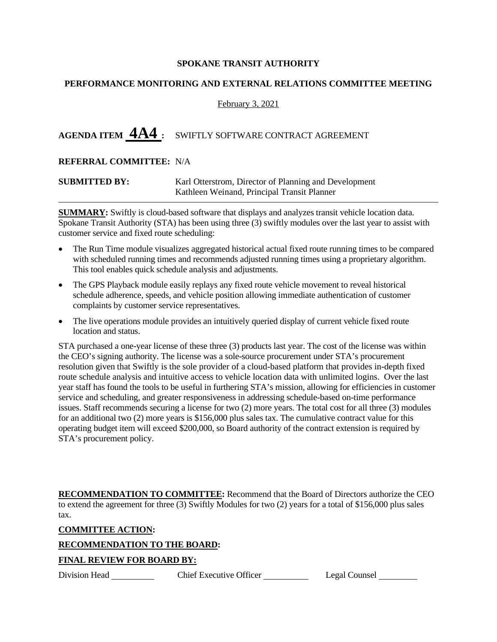### **PERFORMANCE MONITORING AND EXTERNAL RELATIONS COMMITTEE MEETING**

### February 3, 2021

### **AGENDA ITEM 4A4 :** SWIFTLY SOFTWARE CONTRACT AGREEMENT

### **REFERRAL COMMITTEE:** N/A

**SUBMITTED BY:** Karl Otterstrom, Director of Planning and Development Kathleen Weinand, Principal Transit Planner

**SUMMARY:** Swiftly is cloud-based software that displays and analyzes transit vehicle location data. Spokane Transit Authority (STA) has been using three (3) swiftly modules over the last year to assist with customer service and fixed route scheduling:

- The Run Time module visualizes aggregated historical actual fixed route running times to be compared with scheduled running times and recommends adjusted running times using a proprietary algorithm. This tool enables quick schedule analysis and adjustments.
- The GPS Playback module easily replays any fixed route vehicle movement to reveal historical schedule adherence, speeds, and vehicle position allowing immediate authentication of customer complaints by customer service representatives.
- The live operations module provides an intuitively queried display of current vehicle fixed route location and status.

STA purchased a one-year license of these three (3) products last year. The cost of the license was within the CEO's signing authority. The license was a sole-source procurement under STA's procurement resolution given that Swiftly is the sole provider of a cloud-based platform that provides in-depth fixed route schedule analysis and intuitive access to vehicle location data with unlimited logins. Over the last year staff has found the tools to be useful in furthering STA's mission, allowing for efficiencies in customer service and scheduling, and greater responsiveness in addressing schedule-based on-time performance issues. Staff recommends securing a license for two (2) more years. The total cost for all three (3) modules for an additional two (2) more years is \$156,000 plus sales tax. The cumulative contract value for this operating budget item will exceed \$200,000, so Board authority of the contract extension is required by STA's procurement policy.

**RECOMMENDATION TO COMMITTEE:** Recommend that the Board of Directors authorize the CEO to extend the agreement for three (3) Swiftly Modules for two (2) years for a total of \$156,000 plus sales tax.

### **COMMITTEE ACTION:**

### **RECOMMENDATION TO THE BOARD:**

### **FINAL REVIEW FOR BOARD BY:**

Division Head Chief Executive Officer Legal Counsel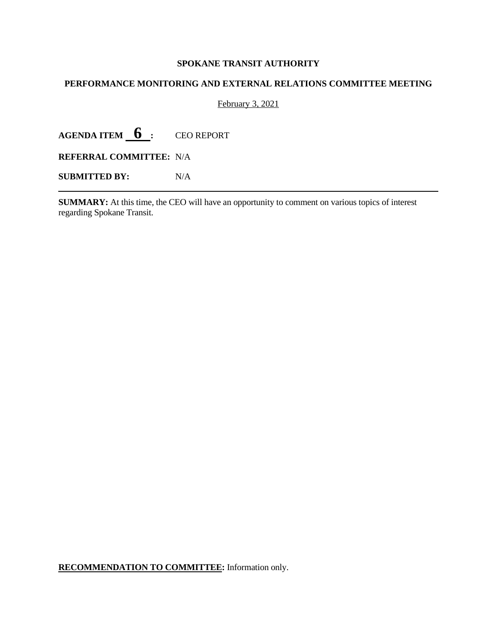### **PERFORMANCE MONITORING AND EXTERNAL RELATIONS COMMITTEE MEETING**

February 3, 2021

**AGENDA ITEM 6 :** CEO REPORT

**REFERRAL COMMITTEE:** N/A

**SUBMITTED BY:** N/A

**SUMMARY:** At this time, the CEO will have an opportunity to comment on various topics of interest regarding Spokane Transit.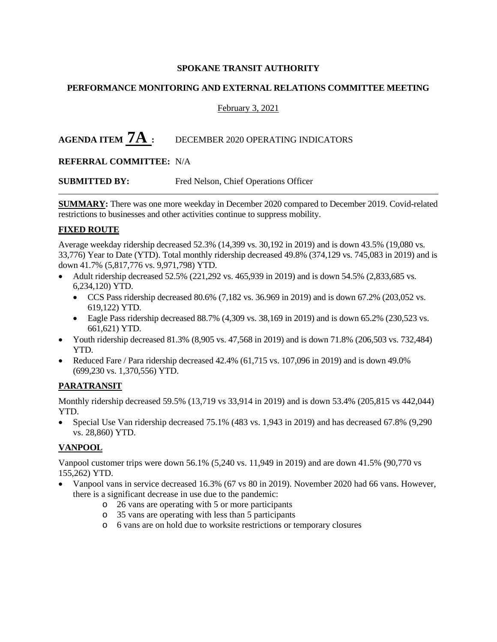### **PERFORMANCE MONITORING AND EXTERNAL RELATIONS COMMITTEE MEETING**

### February 3, 2021

## AGENDA ITEM  $7A$  **:** DECEMBER 2020 OPERATING INDICATORS

### **REFERRAL COMMITTEE:** N/A

**SUBMITTED BY:** Fred Nelson, Chief Operations Officer

**SUMMARY:** There was one more weekday in December 2020 compared to December 2019. Covid-related restrictions to businesses and other activities continue to suppress mobility.

### **FIXED ROUTE**

Average weekday ridership decreased 52.3% (14,399 vs. 30,192 in 2019) and is down 43.5% (19,080 vs. 33,776) Year to Date (YTD). Total monthly ridership decreased 49.8% (374,129 vs. 745,083 in 2019) and is down 41.7% (5,817,776 vs. 9,971,798) YTD.

- Adult ridership decreased 52.5% (221,292 vs. 465,939 in 2019) and is down 54.5% (2,833,685 vs. 6,234,120) YTD.
	- CCS Pass ridership decreased 80.6%  $(7,182 \text{ vs. } 36.969 \text{ in } 2019)$  and is down 67.2%  $(203,052 \text{ vs. } 36.969 \text{ in } 2019)$ 619,122) YTD.
	- Eagle Pass ridership decreased  $88.7\%$  (4,309 vs. 38,169 in 2019) and is down 65.2% (230,523 vs. 661,621) YTD.
- Youth ridership decreased 81.3% (8,905 vs. 47,568 in 2019) and is down 71.8% (206,503 vs. 732,484) YTD.
- Reduced Fare / Para ridership decreased 42.4% (61,715 vs. 107,096 in 2019) and is down 49.0% (699,230 vs. 1,370,556) YTD.

### **PARATRANSIT**

Monthly ridership decreased 59.5% (13,719 vs 33,914 in 2019) and is down 53.4% (205,815 vs 442,044) YTD.

• Special Use Van ridership decreased 75.1% (483 vs. 1,943 in 2019) and has decreased 67.8% (9,290 vs. 28,860) YTD.

### **VANPOOL**

Vanpool customer trips were down 56.1% (5,240 vs. 11,949 in 2019) and are down 41.5% (90,770 vs 155,262) YTD.

- Vanpool vans in service decreased 16.3% (67 vs 80 in 2019). November 2020 had 66 vans. However, there is a significant decrease in use due to the pandemic:
	- o 26 vans are operating with 5 or more participants
	- o 35 vans are operating with less than 5 participants
	- o 6 vans are on hold due to worksite restrictions or temporary closures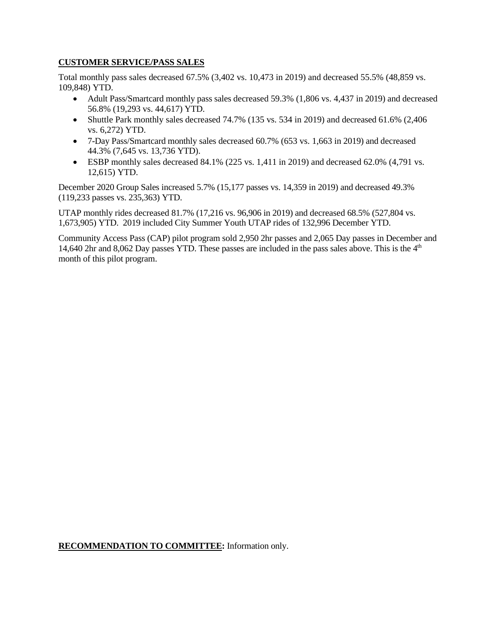### **CUSTOMER SERVICE/PASS SALES**

Total monthly pass sales decreased 67.5% (3,402 vs. 10,473 in 2019) and decreased 55.5% (48,859 vs. 109,848) YTD.

- Adult Pass/Smartcard monthly pass sales decreased 59.3% (1,806 vs. 4,437 in 2019) and decreased 56.8% (19,293 vs. 44,617) YTD.
- Shuttle Park monthly sales decreased 74.7% (135 vs. 534 in 2019) and decreased 61.6% (2,406 vs. 6,272) YTD.
- 7-Day Pass/Smartcard monthly sales decreased 60.7% (653 vs. 1,663 in 2019) and decreased 44.3% (7,645 vs. 13,736 YTD).
- ESBP monthly sales decreased  $84.1\%$  (225 vs. 1,411 in 2019) and decreased 62.0% (4,791 vs. 12,615) YTD.

December 2020 Group Sales increased 5.7% (15,177 passes vs. 14,359 in 2019) and decreased 49.3% (119,233 passes vs. 235,363) YTD.

UTAP monthly rides decreased 81.7% (17,216 vs. 96,906 in 2019) and decreased 68.5% (527,804 vs. 1,673,905) YTD. 2019 included City Summer Youth UTAP rides of 132,996 December YTD.

Community Access Pass (CAP) pilot program sold 2,950 2hr passes and 2,065 Day passes in December and 14,640 2hr and 8,062 Day passes YTD. These passes are included in the pass sales above. This is the  $4<sup>th</sup>$ month of this pilot program.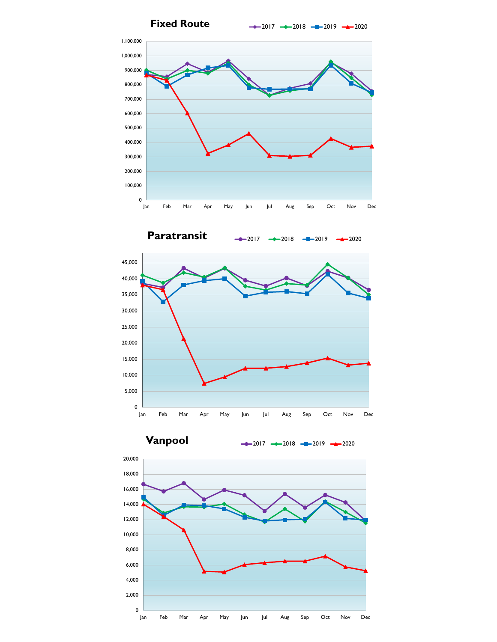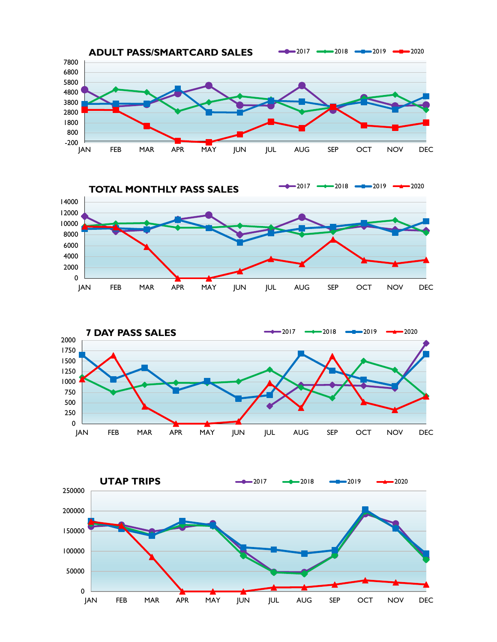





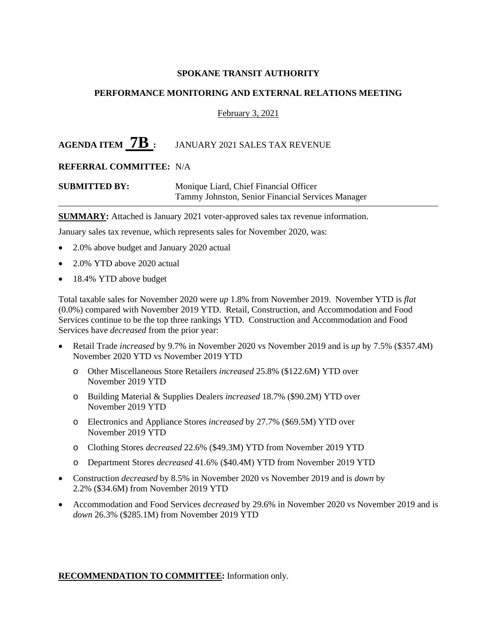### **PERFORMANCE MONITORING AND EXTERNAL RELATIONS MEETING**

### February 3, 2021

## AGENDA ITEM  $\overline{7B}$  : JANUARY 2021 SALES TAX REVENUE

### **REFERRAL COMMITTEE:** N/A

**SUBMITTED BY:** Monique Liard, Chief Financial Officer Tammy Johnston, Senior Financial Services Manager

**SUMMARY:** Attached is January 2021 voter-approved sales tax revenue information.

January sales tax revenue, which represents sales for November 2020, was:

- 2.0% above budget and January 2020 actual
- 2.0% YTD above 2020 actual
- 18.4% YTD above budget

Total taxable sales for November 2020 were *up* 1.8% from November 2019. November YTD is *flat* (0.0%) compared with November 2019 YTD. Retail, Construction, and Accommodation and Food Services continue to be the top three rankings YTD. Construction and Accommodation and Food Services have *decreased* from the prior year:

- Retail Trade *increased* by 9.7% in November 2020 vs November 2019 and is *up* by 7.5% (\$357.4M) November 2020 YTD vs November 2019 YTD
	- o Other Miscellaneous Store Retailers *increased* 25.8% (\$122.6M) YTD over November 2019 YTD
	- o Building Material & Supplies Dealers *increased* 18.7% (\$90.2M) YTD over November 2019 YTD
	- o Electronics and Appliance Stores *increased* by 27.7% (\$69.5M) YTD over November 2019 YTD
	- o Clothing Stores *decreased* 22.6% (\$49.3M) YTD from November 2019 YTD
	- o Department Stores *decreased* 41.6% (\$40.4M) YTD from November 2019 YTD
- Construction *decreased* by 8.5% in November 2020 vs November 2019 and is *down* by 2.2% (\$34.6M) from November 2019 YTD
- Accommodation and Food Services *decreased* by 29.6% in November 2020 vs November 2019 and is *down* 26.3% (\$285.1M) from November 2019 YTD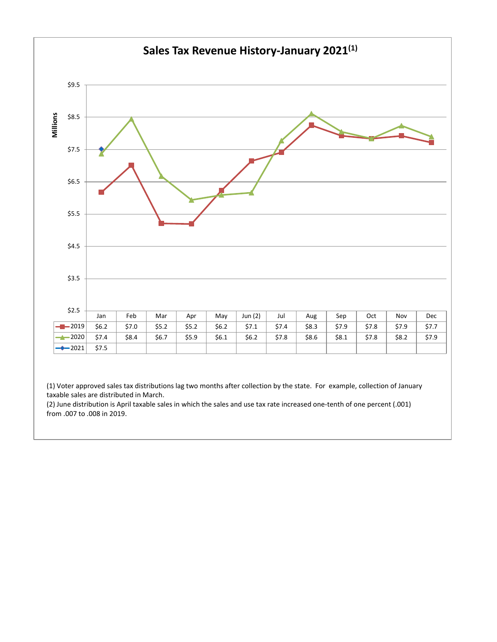

(1) Voter approved sales tax distributions lag two months after collection by the state. For example, collection of January taxable sales are distributed in March.

(2) June distribution is April taxable sales in which the sales and use tax rate increased one‐tenth of one percent (.001) from .007 to .008 in 2019.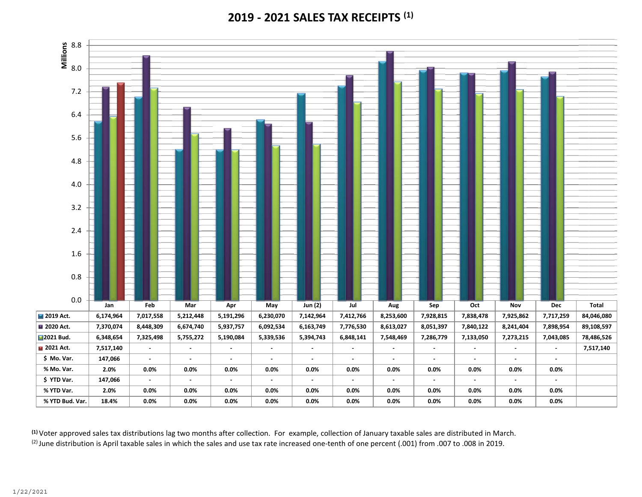### **2019 ‐ 2021 SALES TAX RECEIPTS (1)**



**(1)** Voter approved sales tax distributions lag two months after collection. For example, collection of January taxable sales are distributed in March.

<sup>(2)</sup> June distribution is April taxable sales in which the sales and use tax rate increased one-tenth of one percent (.001) from .007 to .008 in 2019.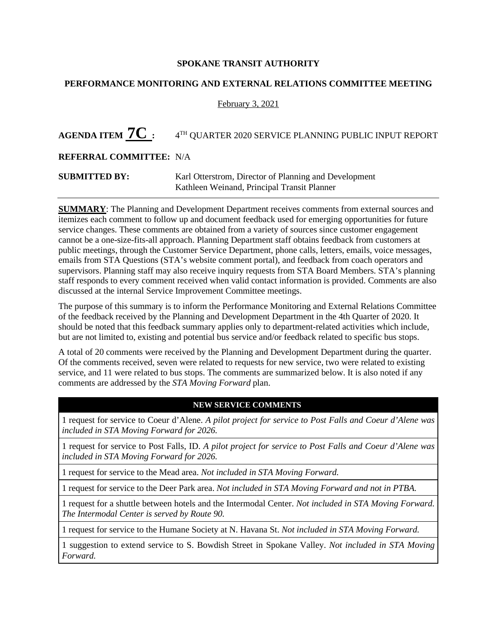### **PERFORMANCE MONITORING AND EXTERNAL RELATIONS COMMITTEE MEETING**

### February 3, 2021

# **AGENDA ITEM**  $7C: 4^{TH}$  **QUARTER 2020 SERVICE PLANNING PUBLIC INPUT REPORT**

### **REFERRAL COMMITTEE:** N/A

### **SUBMITTED BY:** Karl Otterstrom, Director of Planning and Development Kathleen Weinand, Principal Transit Planner

**SUMMARY:** The Planning and Development Department receives comments from external sources and itemizes each comment to follow up and document feedback used for emerging opportunities for future service changes. These comments are obtained from a variety of sources since customer engagement cannot be a one-size-fits-all approach. Planning Department staff obtains feedback from customers at public meetings, through the Customer Service Department, phone calls, letters, emails, voice messages, emails from STA Questions (STA's website comment portal), and feedback from coach operators and supervisors. Planning staff may also receive inquiry requests from STA Board Members. STA's planning staff responds to every comment received when valid contact information is provided. Comments are also discussed at the internal Service Improvement Committee meetings.

The purpose of this summary is to inform the Performance Monitoring and External Relations Committee of the feedback received by the Planning and Development Department in the 4th Quarter of 2020. It should be noted that this feedback summary applies only to department-related activities which include, but are not limited to, existing and potential bus service and/or feedback related to specific bus stops.

A total of 20 comments were received by the Planning and Development Department during the quarter. Of the comments received, seven were related to requests for new service, two were related to existing service, and 11 were related to bus stops. The comments are summarized below. It is also noted if any comments are addressed by the *STA Moving Forward* plan.

### **NEW SERVICE COMMENTS**

1 request for service to Coeur d'Alene. *A pilot project for service to Post Falls and Coeur d'Alene was included in STA Moving Forward for 2026.*

1 request for service to Post Falls, ID. *A pilot project for service to Post Falls and Coeur d'Alene was included in STA Moving Forward for 2026.*

1 request for service to the Mead area. *Not included in STA Moving Forward.*

1 request for service to the Deer Park area. *Not included in STA Moving Forward and not in PTBA.*

1 request for a shuttle between hotels and the Intermodal Center. *Not included in STA Moving Forward. The Intermodal Center is served by Route 90.*

1 request for service to the Humane Society at N. Havana St. *Not included in STA Moving Forward.*

1 suggestion to extend service to S. Bowdish Street in Spokane Valley. *Not included in STA Moving Forward.*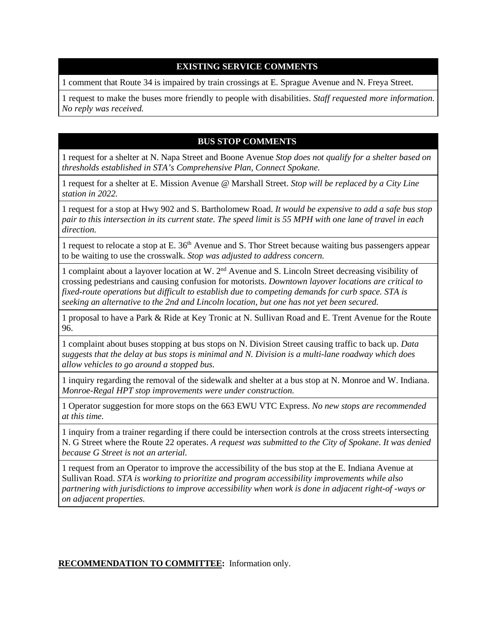### **EXISTING SERVICE COMMENTS**

1 comment that Route 34 is impaired by train crossings at E. Sprague Avenue and N. Freya Street.

1 request to make the buses more friendly to people with disabilities. *Staff requested more information. No reply was received.* 

### **BUS STOP COMMENTS**

1 request for a shelter at N. Napa Street and Boone Avenue *Stop does not qualify for a shelter based on thresholds established in STA's Comprehensive Plan, Connect Spokane.*

1 request for a shelter at E. Mission Avenue @ Marshall Street. *Stop will be replaced by a City Line station in 2022.*

1 request for a stop at Hwy 902 and S. Bartholomew Road. *It would be expensive to add a safe bus stop pair to this intersection in its current state. The speed limit is 55 MPH with one lane of travel in each direction.*

1 request to relocate a stop at E. 36<sup>th</sup> Avenue and S. Thor Street because waiting bus passengers appear to be waiting to use the crosswalk. *Stop was adjusted to address concern.*

1 complaint about a layover location at W. 2nd Avenue and S. Lincoln Street decreasing visibility of crossing pedestrians and causing confusion for motorists. *Downtown layover locations are critical to fixed-route operations but difficult to establish due to competing demands for curb space. STA is seeking an alternative to the 2nd and Lincoln location, but one has not yet been secured.*

1 proposal to have a Park & Ride at Key Tronic at N. Sullivan Road and E. Trent Avenue for the Route 96.

1 complaint about buses stopping at bus stops on N. Division Street causing traffic to back up. *Data suggests that the delay at bus stops is minimal and N. Division is a multi-lane roadway which does allow vehicles to go around a stopped bus.*

1 inquiry regarding the removal of the sidewalk and shelter at a bus stop at N. Monroe and W. Indiana. *Monroe-Regal HPT stop improvements were under construction.*

1 Operator suggestion for more stops on the 663 EWU VTC Express. *No new stops are recommended at this time.*

1 inquiry from a trainer regarding if there could be intersection controls at the cross streets intersecting N. G Street where the Route 22 operates. *A request was submitted to the City of Spokane. It was denied because G Street is not an arterial.* 

1 request from an Operator to improve the accessibility of the bus stop at the E. Indiana Avenue at Sullivan Road. *STA is working to prioritize and program accessibility improvements while also partnering with jurisdictions to improve accessibility when work is done in adjacent right-of -ways or on adjacent properties.*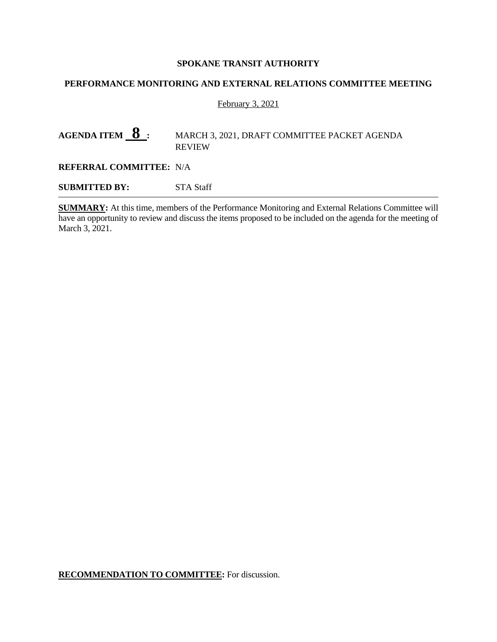### **PERFORMANCE MONITORING AND EXTERNAL RELATIONS COMMITTEE MEETING**

#### February 3, 2021

### AGENDA ITEM 8 : MARCH 3, 2021, DRAFT COMMITTEE PACKET AGENDA REVIEW

### **REFERRAL COMMITTEE:** N/A

**SUBMITTED BY:** STA Staff

**SUMMARY:** At this time, members of the Performance Monitoring and External Relations Committee will have an opportunity to review and discuss the items proposed to be included on the agenda for the meeting of March 3, 2021.

### **RECOMMENDATION TO COMMITTEE:** For discussion.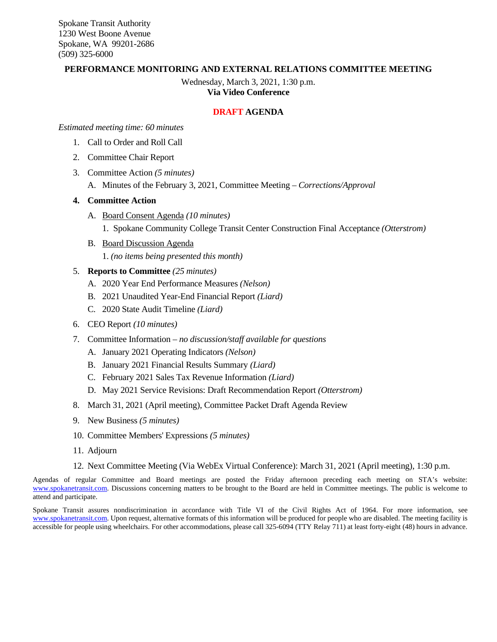### **PERFORMANCE MONITORING AND EXTERNAL RELATIONS COMMITTEE MEETING**

Wednesday, March 3, 2021, 1:30 p.m. **Via Video Conference**

### **DRAFT AGENDA**

#### *Estimated meeting time: 60 minutes*

- 1. Call to Order and Roll Call
- 2. Committee Chair Report
- 3. Committee Action *(5 minutes)*
	- A. Minutes of the February 3, 2021, Committee Meeting *Corrections/Approval*
- **4. Committee Action** 
	- A. Board Consent Agenda *(10 minutes)*
		- 1. Spokane Community College Transit Center Construction Final Acceptance *(Otterstrom)*
	- B. Board Discussion Agenda 1. *(no items being presented this month)*
- 5. **Reports to Committee** *(25 minutes)*
	- A. 2020 Year End Performance Measures *(Nelson)*
	- B. 2021 Unaudited Year-End Financial Report *(Liard)*
	- C. 2020 State Audit Timeline *(Liard)*
- 6. CEO Report *(10 minutes)*
- 7. Committee Information *no discussion/staff available for questions*
	- A. January 2021 Operating Indicators *(Nelson)*
	- B. January 2021 Financial Results Summary *(Liard)*
	- C. February 2021 Sales Tax Revenue Information *(Liard)*
	- D. May 2021 Service Revisions: Draft Recommendation Report *(Otterstrom)*
- 8. March 31, 2021 (April meeting), Committee Packet Draft Agenda Review
- 9. New Business *(5 minutes)*
- 10. Committee Members' Expressions *(5 minutes)*
- 11. Adjourn
- 12. Next Committee Meeting (Via WebEx Virtual Conference): March 31, 2021 (April meeting), 1:30 p.m.

Agendas of regular Committee and Board meetings are posted the Friday afternoon preceding each meeting on STA's website: [www.spokanetransit.com.](http://www.spokanetransit.com/) Discussions concerning matters to be brought to the Board are held in Committee meetings. The public is welcome to attend and participate.

Spokane Transit assures nondiscrimination in accordance with Title VI of the Civil Rights Act of 1964. For more information, see [www.spokanetransit.com.](http://www.spokanetransit.com/) Upon request, alternative formats of this information will be produced for people who are disabled. The meeting facility is accessible for people using wheelchairs. For other accommodations, please call 325-6094 (TTY Relay 711) at least forty-eight (48) hours in advance.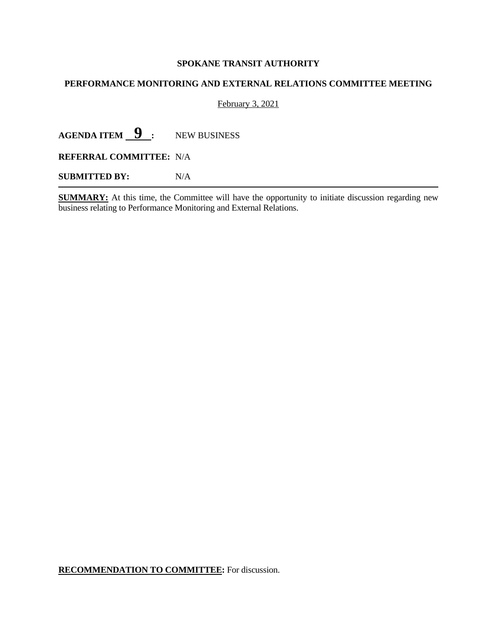### **PERFORMANCE MONITORING AND EXTERNAL RELATIONS COMMITTEE MEETING**

### February 3, 2021

**AGENDA ITEM 9 :** NEW BUSINESS

**REFERRAL COMMITTEE:** N/A

**SUBMITTED BY:** N/A

**SUMMARY:** At this time, the Committee will have the opportunity to initiate discussion regarding new business relating to Performance Monitoring and External Relations.

### **RECOMMENDATION TO COMMITTEE:** For discussion.